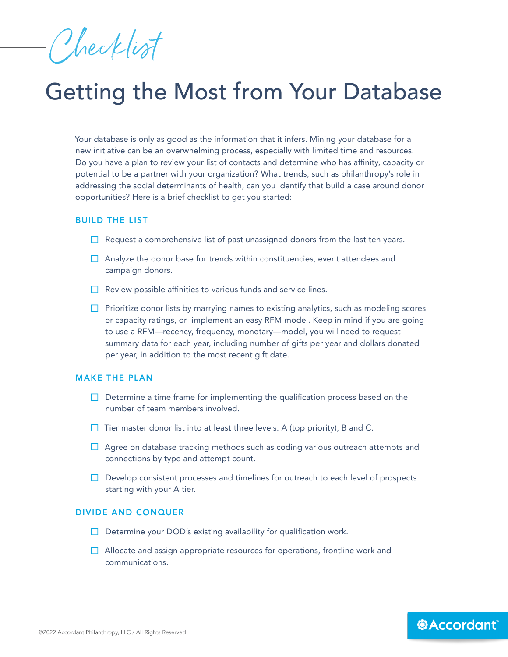Checklist

## Getting the Most from Your Database

Your database is only as good as the information that it infers. Mining your database for a new initiative can be an overwhelming process, especially with limited time and resources. Do you have a plan to review your list of contacts and determine who has affinity, capacity or potential to be a partner with your organization? What trends, such as philanthropy's role in addressing the social determinants of health, can you identify that build a case around donor opportunities? Here is a brief checklist to get you started:

## BUILD THE LIST

- $\Box$  Request a comprehensive list of past unassigned donors from the last ten years.
- $\Box$  Analyze the donor base for trends within constituencies, event attendees and campaign donors.
- $\Box$  Review possible affinities to various funds and service lines.
- $\Box$  Prioritize donor lists by marrying names to existing analytics, such as modeling scores or capacity ratings, or implement an easy RFM model. Keep in mind if you are going to use a RFM—recency, frequency, monetary—model, you will need to request summary data for each year, including number of gifts per year and dollars donated per year, in addition to the most recent gift date.

## MAKE THE PLAN

- $\Box$  Determine a time frame for implementing the qualification process based on the number of team members involved.
- $\Box$  Tier master donor list into at least three levels: A (top priority), B and C.
- $\Box$  Agree on database tracking methods such as coding various outreach attempts and connections by type and attempt count.
- $\Box$  Develop consistent processes and timelines for outreach to each level of prospects starting with your A tier.

## DIVIDE AND CONQUER

- $\Box$  Determine your DOD's existing availability for qualification work.
- $\Box$  Allocate and assign appropriate resources for operations, frontline work and communications.

*<b>@Accordant*